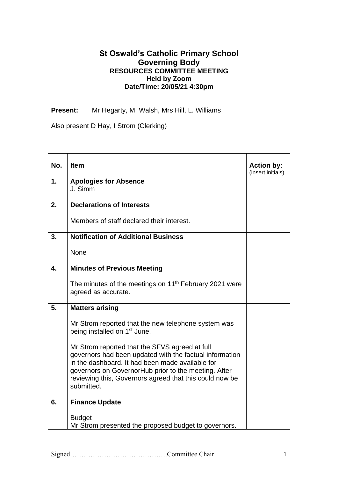## **St Oswald's Catholic Primary School Governing Body RESOURCES COMMITTEE MEETING Held by Zoom Date/Time: 20/05/21 4:30pm**

**Present:** Mr Hegarty, M. Walsh, Mrs Hill, L. Williams

Also present D Hay, I Strom (Clerking)

| No. | <b>Item</b>                                                                                                                                                                                                                                                                                    | <b>Action by:</b><br>(insert initials) |
|-----|------------------------------------------------------------------------------------------------------------------------------------------------------------------------------------------------------------------------------------------------------------------------------------------------|----------------------------------------|
| 1.  | <b>Apologies for Absence</b><br>J. Simm                                                                                                                                                                                                                                                        |                                        |
| 2.  | <b>Declarations of Interests</b>                                                                                                                                                                                                                                                               |                                        |
|     | Members of staff declared their interest.                                                                                                                                                                                                                                                      |                                        |
| 3.  | <b>Notification of Additional Business</b>                                                                                                                                                                                                                                                     |                                        |
|     | None                                                                                                                                                                                                                                                                                           |                                        |
| 4.  | <b>Minutes of Previous Meeting</b>                                                                                                                                                                                                                                                             |                                        |
|     | The minutes of the meetings on 11 <sup>th</sup> February 2021 were<br>agreed as accurate.                                                                                                                                                                                                      |                                        |
| 5.  | <b>Matters arising</b>                                                                                                                                                                                                                                                                         |                                        |
|     | Mr Strom reported that the new telephone system was<br>being installed on 1 <sup>st</sup> June.                                                                                                                                                                                                |                                        |
|     | Mr Strom reported that the SFVS agreed at full<br>governors had been updated with the factual information<br>in the dashboard. It had been made available for<br>governors on GovernorHub prior to the meeting. After<br>reviewing this, Governors agreed that this could now be<br>submitted. |                                        |
| 6.  | <b>Finance Update</b>                                                                                                                                                                                                                                                                          |                                        |
|     | <b>Budget</b><br>Mr Strom presented the proposed budget to governors.                                                                                                                                                                                                                          |                                        |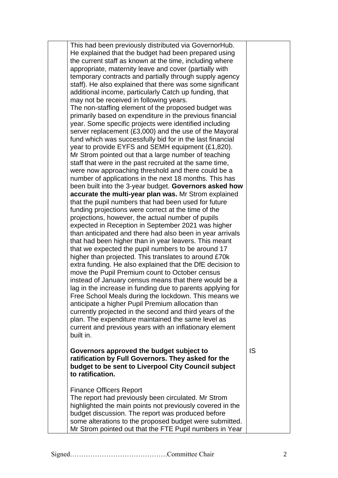| This had been previously distributed via GovernorHub.                                                              |           |
|--------------------------------------------------------------------------------------------------------------------|-----------|
| He explained that the budget had been prepared using                                                               |           |
| the current staff as known at the time, including where                                                            |           |
| appropriate, maternity leave and cover (partially with                                                             |           |
| temporary contracts and partially through supply agency                                                            |           |
| staff). He also explained that there was some significant                                                          |           |
| additional income, particularly Catch up funding, that                                                             |           |
| may not be received in following years.                                                                            |           |
| The non-staffing element of the proposed budget was                                                                |           |
| primarily based on expenditure in the previous financial                                                           |           |
| year. Some specific projects were identified including                                                             |           |
| server replacement (£3,000) and the use of the Mayoral                                                             |           |
| fund which was successfully bid for in the last financial                                                          |           |
| year to provide EYFS and SEMH equipment (£1,820).                                                                  |           |
| Mr Strom pointed out that a large number of teaching                                                               |           |
| staff that were in the past recruited at the same time,                                                            |           |
| were now approaching threshold and there could be a                                                                |           |
| number of applications in the next 18 months. This has                                                             |           |
| been built into the 3-year budget. Governors asked how                                                             |           |
| accurate the multi-year plan was. Mr Strom explained                                                               |           |
| that the pupil numbers that had been used for future                                                               |           |
| funding projections were correct at the time of the                                                                |           |
| projections, however, the actual number of pupils                                                                  |           |
| expected in Reception in September 2021 was higher                                                                 |           |
| than anticipated and there had also been in year arrivals                                                          |           |
| that had been higher than in year leavers. This meant                                                              |           |
| that we expected the pupil numbers to be around 17                                                                 |           |
| higher than projected. This translates to around £70k                                                              |           |
| extra funding. He also explained that the DfE decision to                                                          |           |
| move the Pupil Premium count to October census<br>instead of January census means that there would be a            |           |
|                                                                                                                    |           |
| lag in the increase in funding due to parents applying for<br>Free School Meals during the lockdown. This means we |           |
| anticipate a higher Pupil Premium allocation than                                                                  |           |
| currently projected in the second and third years of the                                                           |           |
| plan. The expenditure maintained the same level as                                                                 |           |
| current and previous years with an inflationary element                                                            |           |
| built in.                                                                                                          |           |
|                                                                                                                    |           |
| Governors approved the budget subject to                                                                           | <b>IS</b> |
| ratification by Full Governors. They asked for the                                                                 |           |
| budget to be sent to Liverpool City Council subject                                                                |           |
| to ratification.                                                                                                   |           |
|                                                                                                                    |           |
| <b>Finance Officers Report</b>                                                                                     |           |
| The report had previously been circulated. Mr Strom                                                                |           |
| highlighted the main points not previously covered in the                                                          |           |
| budget discussion. The report was produced before                                                                  |           |
| some alterations to the proposed budget were submitted.                                                            |           |
| Mr Strom pointed out that the FTE Pupil numbers in Year                                                            |           |
|                                                                                                                    |           |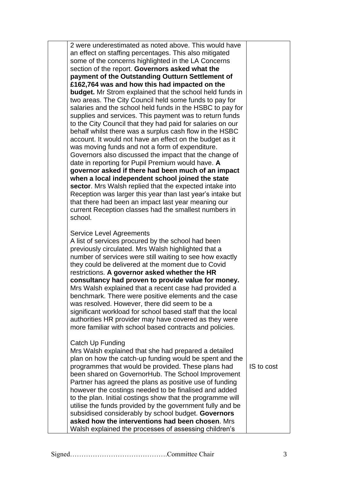| 2 were underestimated as noted above. This would have<br>an effect on staffing percentages. This also mitigated<br>some of the concerns highlighted in the LA Concerns<br>section of the report. Governors asked what the<br>payment of the Outstanding Outturn Settlement of<br>£162,764 was and how this had impacted on the<br><b>budget.</b> Mr Strom explained that the school held funds in<br>two areas. The City Council held some funds to pay for<br>salaries and the school held funds in the HSBC to pay for<br>supplies and services. This payment was to return funds<br>to the City Council that they had paid for salaries on our<br>behalf whilst there was a surplus cash flow in the HSBC<br>account. It would not have an effect on the budget as it<br>was moving funds and not a form of expenditure.<br>Governors also discussed the impact that the change of<br>date in reporting for Pupil Premium would have. A<br>governor asked if there had been much of an impact<br>when a local independent school joined the state<br>sector. Mrs Walsh replied that the expected intake into<br>Reception was larger this year than last year's intake but<br>that there had been an impact last year meaning our<br>current Reception classes had the smallest numbers in<br>school. |    |
|----------------------------------------------------------------------------------------------------------------------------------------------------------------------------------------------------------------------------------------------------------------------------------------------------------------------------------------------------------------------------------------------------------------------------------------------------------------------------------------------------------------------------------------------------------------------------------------------------------------------------------------------------------------------------------------------------------------------------------------------------------------------------------------------------------------------------------------------------------------------------------------------------------------------------------------------------------------------------------------------------------------------------------------------------------------------------------------------------------------------------------------------------------------------------------------------------------------------------------------------------------------------------------------------------------|----|
| Service Level Agreements<br>A list of services procured by the school had been<br>previously circulated. Mrs Walsh highlighted that a<br>number of services were still waiting to see how exactly<br>they could be delivered at the moment due to Covid<br>restrictions. A governor asked whether the HR<br>consultancy had proven to provide value for money.<br>Mrs Walsh explained that a recent case had provided a<br>benchmark. There were positive elements and the case<br>was resolved. However, there did seem to be a<br>significant workload for school based staff that the local<br>authorities HR provider may have covered as they were<br>more familiar with school based contracts and policies.                                                                                                                                                                                                                                                                                                                                                                                                                                                                                                                                                                                       |    |
| Catch Up Funding<br>Mrs Walsh explained that she had prepared a detailed<br>plan on how the catch-up funding would be spent and the<br>programmes that would be provided. These plans had<br>been shared on GovernorHub. The School Improvement<br>Partner has agreed the plans as positive use of funding                                                                                                                                                                                                                                                                                                                                                                                                                                                                                                                                                                                                                                                                                                                                                                                                                                                                                                                                                                                               | IS |

to cost

however the costings needed to be finalised and added to the plan. Initial costings show that the programme will utilise the funds provided by the government fully and be subsidised considerably by school budget. **Governors asked how the interventions had been chosen**. Mrs Walsh explained the processes of assessing children's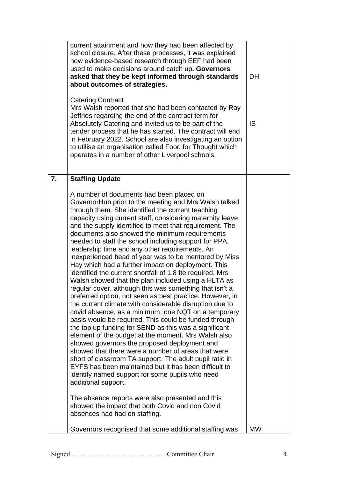|    | current attainment and how they had been affected by<br>school closure. After these processes, it was explained<br>how evidence-based research through EEF had been<br>used to make decisions around catch up. Governors<br>asked that they be kept informed through standards<br>about outcomes of strategies.<br><b>Catering Contract</b><br>Mrs Walsh reported that she had been contacted by Ray<br>Jeffries regarding the end of the contract term for<br>Absolutely Catering and invited us to be part of the<br>tender process that he has started. The contract will end<br>in February 2022. School are also investigating an option<br>to utilise an organisation called Food for Thought which<br>operates in a number of other Liverpool schools.                                                                                                                                                                                                                                                                                                                                                                                                                                                                                                                                                                                                                                                                                                                                     | <b>DH</b><br><b>IS</b> |
|----|---------------------------------------------------------------------------------------------------------------------------------------------------------------------------------------------------------------------------------------------------------------------------------------------------------------------------------------------------------------------------------------------------------------------------------------------------------------------------------------------------------------------------------------------------------------------------------------------------------------------------------------------------------------------------------------------------------------------------------------------------------------------------------------------------------------------------------------------------------------------------------------------------------------------------------------------------------------------------------------------------------------------------------------------------------------------------------------------------------------------------------------------------------------------------------------------------------------------------------------------------------------------------------------------------------------------------------------------------------------------------------------------------------------------------------------------------------------------------------------------------|------------------------|
| 7. | <b>Staffing Update</b><br>A number of documents had been placed on<br>GovernorHub prior to the meeting and Mrs Walsh talked                                                                                                                                                                                                                                                                                                                                                                                                                                                                                                                                                                                                                                                                                                                                                                                                                                                                                                                                                                                                                                                                                                                                                                                                                                                                                                                                                                       |                        |
|    | through them. She identified the current teaching<br>capacity using current staff, considering maternity leave<br>and the supply identified to meet that requirement. The<br>documents also showed the minimum requirements<br>needed to staff the school including support for PPA,<br>leadership time and any other requirements. An<br>inexperienced head of year was to be mentored by Miss<br>Hay which had a further impact on deployment. This<br>identified the current shortfall of 1.8 fte required. Mrs<br>Walsh showed that the plan included using a HLTA as<br>regular cover, although this was something that isn't a<br>preferred option, not seen as best practice. However, in<br>the current climate with considerable disruption due to<br>covid absence, as a minimum, one NQT on a temporary<br>basis would be required. This could be funded through<br>the top up funding for SEND as this was a significant<br>element of the budget at the moment. Mrs Walsh also<br>showed governors the proposed deployment and<br>showed that there were a number of areas that were<br>short of classroom TA support. The adult pupil ratio in<br>EYFS has been maintained but it has been difficult to<br>identify named support for some pupils who need<br>additional support.<br>The absence reports were also presented and this<br>showed the impact that both Covid and non Covid<br>absences had had on staffing.<br>Governors recognised that some additional staffing was | <b>MW</b>              |
|    |                                                                                                                                                                                                                                                                                                                                                                                                                                                                                                                                                                                                                                                                                                                                                                                                                                                                                                                                                                                                                                                                                                                                                                                                                                                                                                                                                                                                                                                                                                   |                        |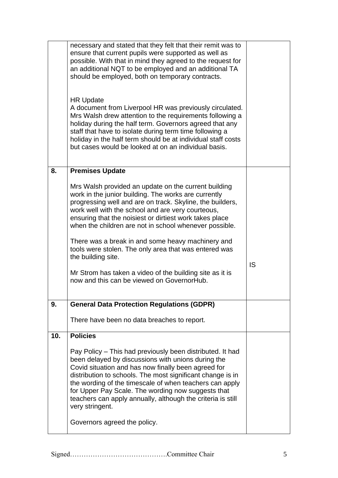|     | necessary and stated that they felt that their remit was to<br>ensure that current pupils were supported as well as<br>possible. With that in mind they agreed to the request for<br>an additional NQT to be employed and an additional TA<br>should be employed, both on temporary contracts.<br><b>HR Update</b><br>A document from Liverpool HR was previously circulated.<br>Mrs Walsh drew attention to the requirements following a<br>holiday during the half term. Governors agreed that any<br>staff that have to isolate during term time following a<br>holiday in the half term should be at individual staff costs<br>but cases would be looked at on an individual basis. |           |
|-----|-----------------------------------------------------------------------------------------------------------------------------------------------------------------------------------------------------------------------------------------------------------------------------------------------------------------------------------------------------------------------------------------------------------------------------------------------------------------------------------------------------------------------------------------------------------------------------------------------------------------------------------------------------------------------------------------|-----------|
| 8.  | <b>Premises Update</b>                                                                                                                                                                                                                                                                                                                                                                                                                                                                                                                                                                                                                                                                  |           |
|     | Mrs Walsh provided an update on the current building<br>work in the junior building. The works are currently<br>progressing well and are on track. Skyline, the builders,<br>work well with the school and are very courteous,<br>ensuring that the noisiest or dirtiest work takes place<br>when the children are not in school whenever possible.<br>There was a break in and some heavy machinery and<br>tools were stolen. The only area that was entered was<br>the building site.<br>Mr Strom has taken a video of the building site as it is<br>now and this can be viewed on GovernorHub.                                                                                       | <b>IS</b> |
|     |                                                                                                                                                                                                                                                                                                                                                                                                                                                                                                                                                                                                                                                                                         |           |
| 9.  |                                                                                                                                                                                                                                                                                                                                                                                                                                                                                                                                                                                                                                                                                         |           |
|     | <b>General Data Protection Regulations (GDPR)</b>                                                                                                                                                                                                                                                                                                                                                                                                                                                                                                                                                                                                                                       |           |
|     | There have been no data breaches to report.                                                                                                                                                                                                                                                                                                                                                                                                                                                                                                                                                                                                                                             |           |
| 10. | <b>Policies</b>                                                                                                                                                                                                                                                                                                                                                                                                                                                                                                                                                                                                                                                                         |           |